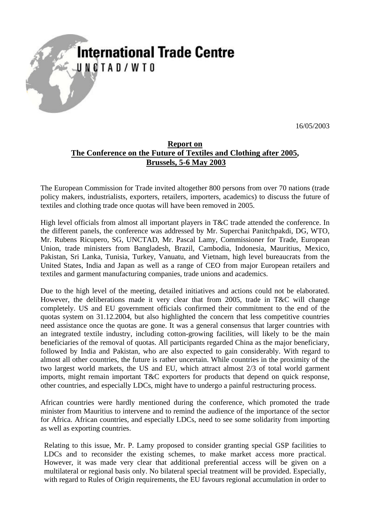## **International Trade Centre** UNCTAD/WTO

16/05/2003

## **Report on The Conference on the Future of Textiles and Clothing after 2005, Brussels, 5-6 May 2003**

The European Commission for Trade invited altogether 800 persons from over 70 nations (trade policy makers, industrialists, exporters, retailers, importers, academics) to discuss the future of textiles and clothing trade once quotas will have been removed in 2005.

High level officials from almost all important players in T&C trade attended the conference. In the different panels, the conference was addressed by Mr. Superchai Panitchpakdi, DG, WTO, Mr. Rubens Ricupero, SG, UNCTAD, Mr. Pascal Lamy, Commissioner for Trade, European Union, trade ministers from Bangladesh, Brazil, Cambodia, Indonesia, Mauritius, Mexico, Pakistan, Sri Lanka, Tunisia, Turkey, Vanuatu, and Vietnam, high level bureaucrats from the United States, India and Japan as well as a range of CEO from major European retailers and textiles and garment manufacturing companies, trade unions and academics.

Due to the high level of the meeting, detailed initiatives and actions could not be elaborated. However, the deliberations made it very clear that from 2005, trade in T&C will change completely. US and EU government officials confirmed their commitment to the end of the quotas system on 31.12.2004, but also highlighted the concern that less competitive countries need assistance once the quotas are gone. It was a general consensus that larger countries with an integrated textile industry, including cotton-growing facilities, will likely to be the main beneficiaries of the removal of quotas. All participants regarded China as the major beneficiary, followed by India and Pakistan, who are also expected to gain considerably. With regard to almost all other countries, the future is rather uncertain. While countries in the proximity of the two largest world markets, the US and EU, which attract almost 2/3 of total world garment imports, might remain important T&C exporters for products that depend on quick response, other countries, and especially LDCs, might have to undergo a painful restructuring process.

African countries were hardly mentioned during the conference, which promoted the trade minister from Mauritius to intervene and to remind the audience of the importance of the sector for Africa. African countries, and especially LDCs, need to see some solidarity from importing as well as exporting countries.

Relating to this issue, Mr. P. Lamy proposed to consider granting special GSP facilities to LDCs and to reconsider the existing schemes, to make market access more practical. However, it was made very clear that additional preferential access will be given on a multilateral or regional basis only. No bilateral special treatment will be provided. Especially, with regard to Rules of Origin requirements, the EU favours regional accumulation in order to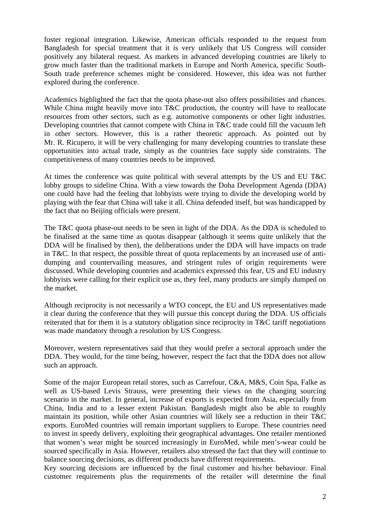foster regional integration. Likewise, American officials responded to the request from Bangladesh for special treatment that it is very unlikely that US Congress will consider positively any bilateral request. As markets in advanced developing countries are likely to grow much faster than the traditional markets in Europe and North America, specific South-South trade preference schemes might be considered. However, this idea was not further explored during the conference.

Academics highlighted the fact that the quota phase-out also offers possibilities and chances. While China might heavily move into T&C production, the country will have to reallocate resources from other sectors, such as e.g. automotive components or other light industries. Developing countries that cannot compete with China in T&C trade could fill the vacuum left in other sectors. However, this is a rather theoretic approach. As pointed out by Mr. R. Ricupero, it will be very challenging for many developing countries to translate these opportunities into actual trade, simply as the countries face supply side constraints. The competitiveness of many countries needs to be improved.

At times the conference was quite political with several attempts by the US and EU T&C lobby groups to sideline China. With a view towards the Doha Development Agenda (DDA) one could have had the feeling that lobbyists were trying to divide the developing world by playing with the fear that China will take it all. China defended itself, but was handicapped by the fact that no Beijing officials were present.

The T&C quota phase-out needs to be seen in light of the DDA. As the DDA is scheduled to be finalised at the same time as quotas disappear (although it seems quite unlikely that the DDA will be finalised by then), the deliberations under the DDA will have impacts on trade in T&C. In that respect, the possible threat of quota replacements by an increased use of antidumping and countervailing measures, and stringent rules of origin requirements were discussed. While developing countries and academics expressed this fear, US and EU industry lobbyists were calling for their explicit use as, they feel, many products are simply dumped on the market.

Although reciprocity is not necessarily a WTO concept, the EU and US representatives made it clear during the conference that they will pursue this concept during the DDA. US officials reiterated that for them it is a statutory obligation since reciprocity in T&C tariff negotiations was made mandatory through a resolution by US Congress.

Moreover, western representatives said that they would prefer a sectoral approach under the DDA. They would, for the time being, however, respect the fact that the DDA does not allow such an approach.

Some of the major European retail stores, such as Carrefour, C&A, M&S, Coin Spa, Falke as well as US-based Levis Strauss, were presenting their views on the changing sourcing scenario in the market. In general, increase of exports is expected from Asia, especially from China, India and to a lesser extent Pakistan. Bangladesh might also be able to roughly maintain its position, while other Asian countries will likely see a reduction in their T&C exports. EuroMed countries will remain important suppliers to Europe. These countries need to invest in speedy delivery, exploiting their geographical advantages. One retailer mentioned that women's wear might be sourced increasingly in EuroMed, while men's-wear could be sourced specifically in Asia. However, retailers also stressed the fact that they will continue to balance sourcing decisions, as different products have different requirements.

Key sourcing decisions are influenced by the final customer and his/her behaviour. Final customer requirements plus the requirements of the retailer will determine the final